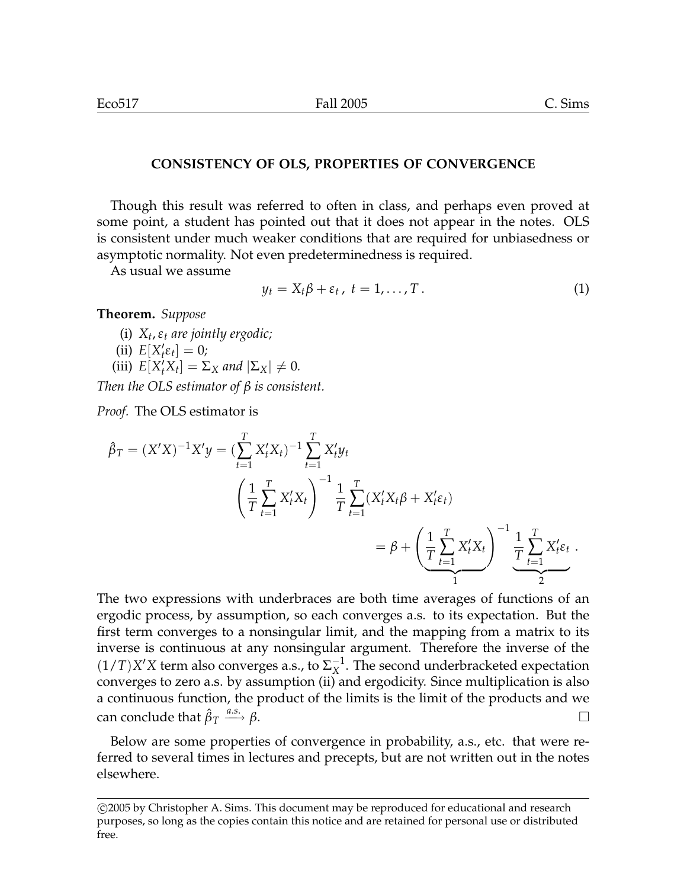## **CONSISTENCY OF OLS, PROPERTIES OF CONVERGENCE**

Though this result was referred to often in class, and perhaps even proved at some point, a student has pointed out that it does not appear in the notes. OLS is consistent under much weaker conditions that are required for unbiasedness or asymptotic normality. Not even predeterminedness is required.

As usual we assume

$$
y_t = X_t \beta + \varepsilon_t, \ t = 1, \ldots, T. \tag{1}
$$

**Theorem.** *Suppose*

- (i) *X<sup>t</sup>* ,*ε<sup>t</sup> are jointly ergodic;*
- (ii)  $E[X_t' \varepsilon_t] = 0;$
- (iii)  $E[X_t^{\prime} X_t] = \Sigma_X$  and  $|\Sigma_X| \neq 0$ .

*Then the OLS estimator of β is consistent.*

*Proof.* The OLS estimator is

$$
\hat{\beta}_T = (X'X)^{-1}X'y = \left(\sum_{t=1}^T X'_t X_t\right)^{-1} \sum_{t=1}^T X'_t y_t
$$
\n
$$
\left(\frac{1}{T} \sum_{t=1}^T X'_t X_t\right)^{-1} \frac{1}{T} \sum_{t=1}^T (X'_t X_t \beta + X'_t \varepsilon_t)
$$
\n
$$
= \beta + \left(\frac{1}{T} \sum_{t=1}^T X'_t X_t\right)^{-1} \frac{1}{T} \sum_{t=1}^T X'_t \varepsilon_t.
$$

The two expressions with underbraces are both time averages of functions of an ergodic process, by assumption, so each converges a.s. to its expectation. But the first term converges to a nonsingular limit, and the mapping from a matrix to its inverse is continuous at any nonsingular argument. Therefore the inverse of the  $(1/T)X'X$  term also converges a.s., to  $\Sigma_X^{-1}$  $X^{\text{-}1}$ . The second underbracketed expectation converges to zero a.s. by assumption (ii) and ergodicity. Since multiplication is also a continuous function, the product of the limits is the limit of the products and we can conclude that  $\hat{\beta}_T$  $\xrightarrow{a.s.} \beta.$ 

Below are some properties of convergence in probability, a.s., etc. that were referred to several times in lectures and precepts, but are not written out in the notes elsewhere.

<sup>°</sup>c 2005 by Christopher A. Sims. This document may be reproduced for educational and research purposes, so long as the copies contain this notice and are retained for personal use or distributed free.